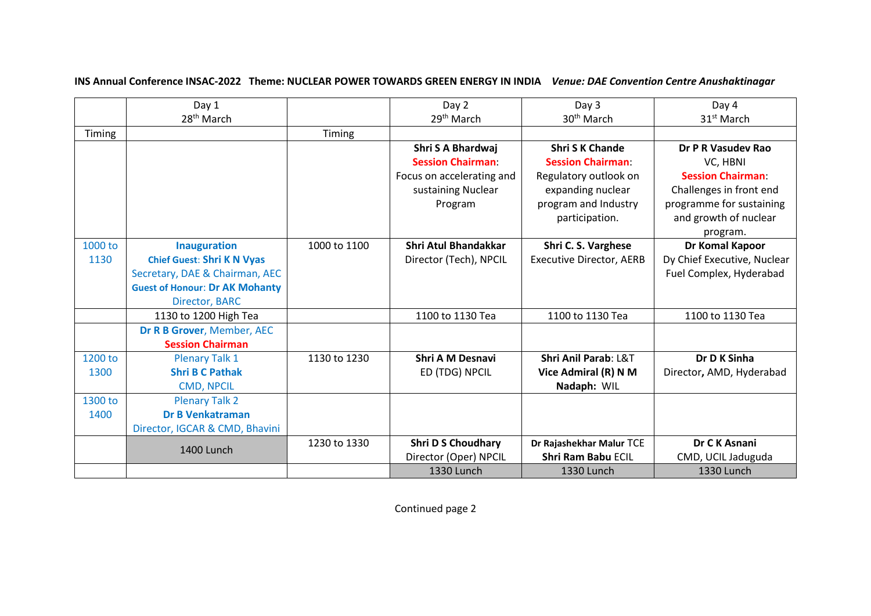|         | Day 1                                 |              | Day 2                       | Day 3                           | Day 4                       |
|---------|---------------------------------------|--------------|-----------------------------|---------------------------------|-----------------------------|
|         | 28 <sup>th</sup> March                |              | 29 <sup>th</sup> March      | 30 <sup>th</sup> March          | 31 <sup>st</sup> March      |
| Timing  |                                       | Timing       |                             |                                 |                             |
|         |                                       |              | Shri S A Bhardwaj           | <b>Shri S K Chande</b>          | Dr P R Vasudev Rao          |
|         |                                       |              | <b>Session Chairman:</b>    | <b>Session Chairman:</b>        | VC, HBNI                    |
|         |                                       |              | Focus on accelerating and   | Regulatory outlook on           | <b>Session Chairman:</b>    |
|         |                                       |              | sustaining Nuclear          | expanding nuclear               | Challenges in front end     |
|         |                                       |              | Program                     | program and Industry            | programme for sustaining    |
|         |                                       |              |                             | participation.                  | and growth of nuclear       |
|         |                                       |              |                             |                                 | program.                    |
| 1000 to | <b>Inauguration</b>                   | 1000 to 1100 | <b>Shri Atul Bhandakkar</b> | Shri C. S. Varghese             | Dr Komal Kapoor             |
| 1130    | <b>Chief Guest: Shri K N Vyas</b>     |              | Director (Tech), NPCIL      | <b>Executive Director, AERB</b> | Dy Chief Executive, Nuclear |
|         | Secretary, DAE & Chairman, AEC        |              |                             |                                 | Fuel Complex, Hyderabad     |
|         | <b>Guest of Honour: Dr AK Mohanty</b> |              |                             |                                 |                             |
|         | <b>Director, BARC</b>                 |              |                             |                                 |                             |
|         | 1130 to 1200 High Tea                 |              | 1100 to 1130 Tea            | 1100 to 1130 Tea                | 1100 to 1130 Tea            |
|         | Dr R B Grover, Member, AEC            |              |                             |                                 |                             |
|         | <b>Session Chairman</b>               |              |                             |                                 |                             |
| 1200 to | <b>Plenary Talk 1</b>                 | 1130 to 1230 | <b>Shri A M Desnavi</b>     | Shri Anil Parab: L&T            | Dr D K Sinha                |
| 1300    | <b>Shri B C Pathak</b>                |              | ED (TDG) NPCIL              | Vice Admiral (R) N M            | Director, AMD, Hyderabad    |
|         | <b>CMD, NPCIL</b>                     |              |                             | Nadaph: WIL                     |                             |
| 1300 to | <b>Plenary Talk 2</b>                 |              |                             |                                 |                             |
| 1400    | <b>Dr B Venkatraman</b>               |              |                             |                                 |                             |
|         | Director, IGCAR & CMD, Bhavini        |              |                             |                                 |                             |
|         | 1400 Lunch                            | 1230 to 1330 | <b>Shri D S Choudhary</b>   | Dr Rajashekhar Malur TCE        | Dr C K Asnani               |
|         |                                       |              | Director (Oper) NPCIL       | <b>Shri Ram Babu ECIL</b>       | CMD, UCIL Jaduguda          |
|         |                                       |              | 1330 Lunch                  | 1330 Lunch                      | 1330 Lunch                  |

**INS Annual Conference INSAC-2022 Theme: NUCLEAR POWER TOWARDS GREEN ENERGY IN INDIA** *Venue: DAE Convention Centre Anushaktinagar*

Continued page 2